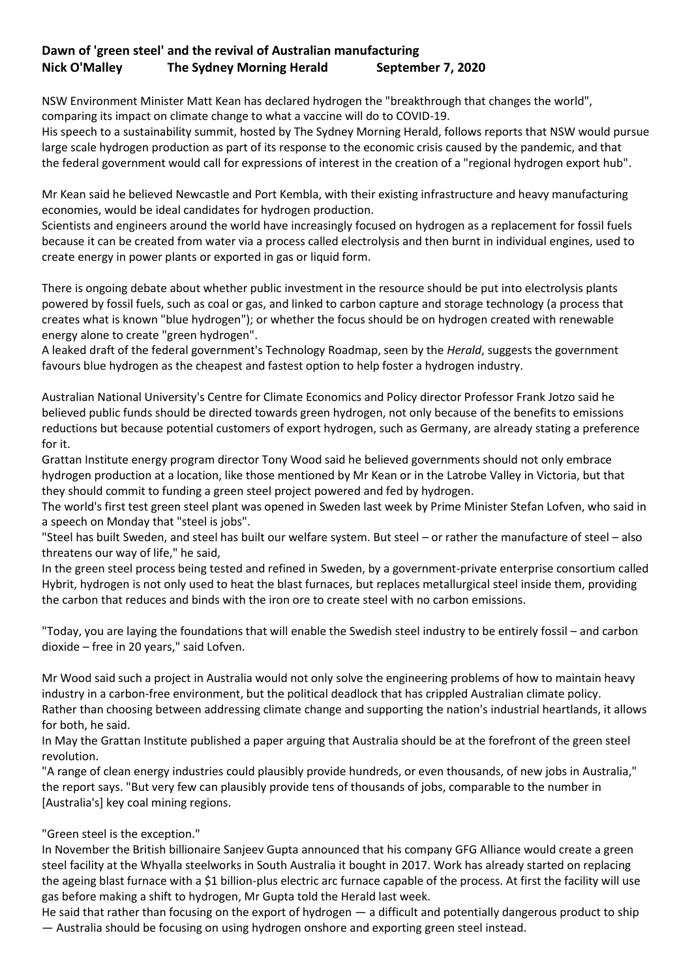## **Dawn of 'green steel' and the revival of Australian manufacturing Nick O'Malley The Sydney Morning Herald September 7, 2020**

NSW Environment Minister Matt Kean has declared hydrogen the "breakthrough that changes the world", comparing its impact on climate change to what a vaccine will do to COVID-19.

His speech to a sustainability summit, hosted by The Sydney Morning Herald, follows reports that [NSW would pursue](https://www.smh.com.au/politics/nsw/enormous-opportunities-nsw-s-green-economic-recovery-from-covid-19-20200906-p55srz.html)  [large scale hydrogen production as part of its response to the economic crisis](https://www.smh.com.au/politics/nsw/enormous-opportunities-nsw-s-green-economic-recovery-from-covid-19-20200906-p55srz.html) caused by the pandemic, and that the [federal government would call for expressions of interest in the creation of a "regional hydrogen export hub".](https://www.theage.com.au/environment/climate-change/government-to-fund-gas-and-carbon-storage-via-clean-energy-programs-20200906-p55svj.html)

Mr Kean said he believed Newcastle and Port Kembla, with their existing infrastructure and heavy manufacturing economies, would be ideal candidates for hydrogen production.

Scientists and engineers around the world have increasingly focused on hydrogen as a replacement for fossil fuels because it can be created from water via a process called electrolysis and then burnt in individual engines, used to create energy in power plants or exported in gas or liquid form.

There is ongoing debate about whether public investment in the resource should be put into electrolysis plants powered by fossil fuels, such as coal or gas, and linked to carbon capture and storage technology (a process that creates what is known "blue hydrogen"); or whether the focus should be on hydrogen created with renewable energy alone to create "green hydrogen".

A leaked draft of the federal government's Technology Roadmap, seen by the *Herald*, suggests the government favours blue hydrogen as the cheapest and fastest option to help foster a hydrogen industry.

Australian National University's Centre for Climate Economics and Policy director Professor Frank Jotzo said he believed public funds should be directed towards green hydrogen, not only because of the benefits to emissions reductions but because potential customers of export hydrogen, such as Germany, are already stating a preference for it.

Grattan Institute energy program director Tony Wood said he believed governments should not only embrace hydrogen production at a location, like those mentioned by Mr Kean or in the Latrobe Valley in Victoria, but that they should commit to funding a green steel project powered and fed by hydrogen.

The world's first test green steel plant was opened in Sweden last week by Prime Minister Stefan Lofven, who said in a speech on Monday that "steel is jobs".

"Steel has built Sweden, and steel has built our welfare system. But steel – or rather the manufacture of steel – also threatens our way of life," he said,

In the green steel process being tested and refined in Sweden, by a government-private enterprise consortium called Hybrit, hydrogen is not only used to heat the blast furnaces, but replaces metallurgical steel inside them, providing the carbon that reduces and binds with the iron ore to create steel with no carbon emissions.

"Today, you are laying the foundations that will enable the Swedish steel industry to be entirely fossil – and carbon dioxide – free in 20 years," said Lofven.

Mr Wood said such a project in Australia would not only solve the engineering problems of how to maintain heavy industry in a carbon-free environment, but the political deadlock that has crippled Australian climate policy. Rather than choosing between addressing climate change and supporting the nation's industrial heartlands, it allows for both, he said.

In May the Grattan Institute [published a paper arguing that Australia should be at the forefront of the green steel](https://grattan.edu.au/report/start-with-steel/)  [revolution.](https://grattan.edu.au/report/start-with-steel/)

"A range of clean energy industries could plausibly provide hundreds, or even thousands, of new jobs in Australia," the report says. "But very few can plausibly provide tens of thousands of jobs, comparable to the number in [Australia's] key coal mining regions.

## "Green steel is the exception."

In November the British billionaire Sanjeev Gupta announced that his company GFG Alliance would create a green steel facility at the Whyalla steelworks in South Australia it bought in 2017. Work has already started on replacing the ageing blast furnace with a \$1 billion-plus electric arc furnace capable of the process. At first the facility will use gas before making a shift to hydrogen, Mr Gupta told the Herald last week.

He said that rather than focusing on the export of hydrogen — a difficult and potentially dangerous product to ship — Australia should be focusing on using hydrogen onshore and exporting green steel instead.